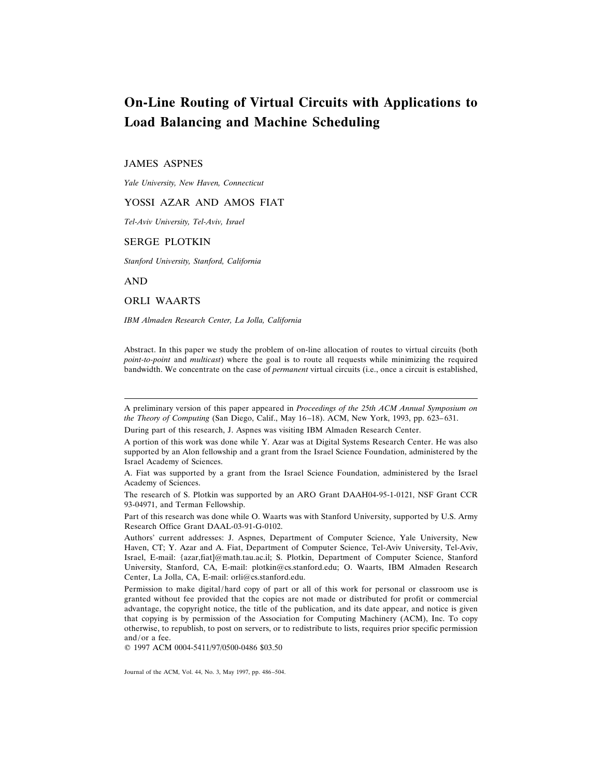# **On-Line Routing of Virtual Circuits with Applications to Load Balancing and Machine Scheduling**

## JAMES ASPNES

*Yale University, New Haven, Connecticut*

## YOSSI AZAR AND AMOS FIAT

*Tel-Aviv University, Tel-Aviv, Israel*

#### SERGE PLOTKIN

*Stanford University, Stanford, California*

AND

# ORLI WAARTS

*IBM Almaden Research Center, La Jolla, California*

Abstract. In this paper we study the problem of on-line allocation of routes to virtual circuits (both *point-to-point* and *multicast*) where the goal is to route all requests while minimizing the required bandwidth. We concentrate on the case of *permanent* virtual circuits (i.e., once a circuit is established,

During part of this research, J. Aspnes was visiting IBM Almaden Research Center.

The research of S. Plotkin was supported by an ARO Grant DAAH04-95-1-0121, NSF Grant CCR 93-04971, and Terman Fellowship.

Part of this research was done while O. Waarts was with Stanford University, supported by U.S. Army Research Office Grant DAAL-03-91-G-0102.

Authors' current addresses: J. Aspnes, Department of Computer Science, Yale University, New Haven, CT; Y. Azar and A. Fiat, Department of Computer Science, Tel-Aviv University, Tel-Aviv, Israel, E-mail: {azar,fiat]@math.tau.ac.il; S. Plotkin, Department of Computer Science, Stanford University, Stanford, CA, E-mail: plotkin@cs.stanford.edu; O. Waarts, IBM Almaden Research Center, La Jolla, CA, E-mail: orli@cs.stanford.edu.

Permission to make digital/hard copy of part or all of this work for personal or classroom use is granted without fee provided that the copies are not made or distributed for profit or commercial advantage, the copyright notice, the title of the publication, and its date appear, and notice is given that copying is by permission of the Association for Computing Machinery (ACM), Inc. To copy otherwise, to republish, to post on servers, or to redistribute to lists, requires prior specific permission and/or a fee.

q 1997 ACM 0004-5411/97/0500-0486 \$03.50

A preliminary version of this paper appeared in *Proceedings of the 25th ACM Annual Symposium on the Theory of Computing* (San Diego, Calif., May 16 –18). ACM, New York, 1993, pp. 623–631.

A portion of this work was done while Y. Azar was at Digital Systems Research Center. He was also supported by an Alon fellowship and a grant from the Israel Science Foundation, administered by the Israel Academy of Sciences.

A. Fiat was supported by a grant from the Israel Science Foundation, administered by the Israel Academy of Sciences.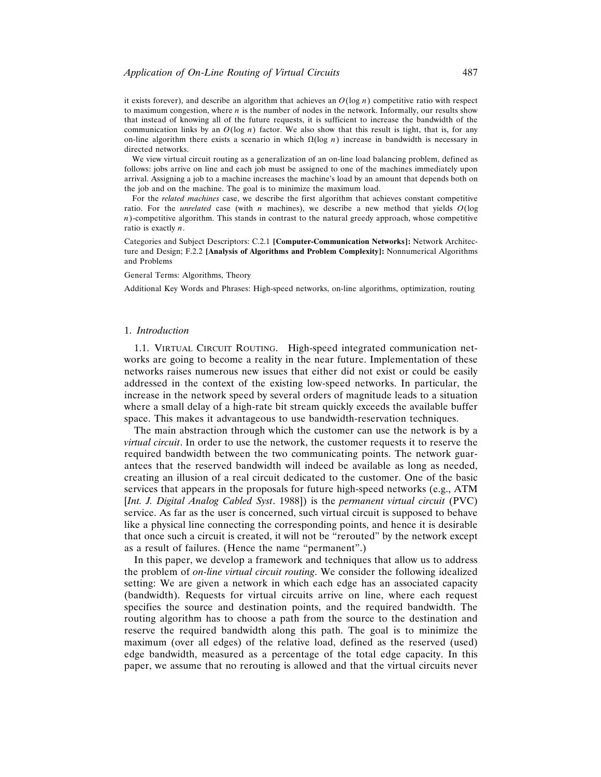## *Application of On-Line Routing of Virtual Circuits* 487

it exists forever), and describe an algorithm that achieves an  $O(\log n)$  competitive ratio with respect to maximum congestion, where *n* is the number of nodes in the network. Informally, our results show that instead of knowing all of the future requests, it is sufficient to increase the bandwidth of the communication links by an  $O(\log n)$  factor. We also show that this result is tight, that is, for any on-line algorithm there exists a scenario in which  $\Omega(\log n)$  increase in bandwidth is necessary in directed networks.

We view virtual circuit routing as a generalization of an on-line load balancing problem, defined as follows: jobs arrive on line and each job must be assigned to one of the machines immediately upon arrival. Assigning a job to a machine increases the machine's load by an amount that depends both on the job and on the machine. The goal is to minimize the maximum load.

For the *related machines* case, we describe the first algorithm that achieves constant competitive ratio. For the *unrelated* case (with *n* machines), we describe a new method that yields *O*(log *n*)-competitive algorithm. This stands in contrast to the natural greedy approach, whose competitive ratio is exactly *n*.

Categories and Subject Descriptors: C.2.1 **[Computer-Communication Networks]:** Network Architecture and Design; F.2.2 **[Analysis of Algorithms and Problem Complexity]:** Nonnumerical Algorithms and Problems

#### General Terms: Algorithms, Theory

Additional Key Words and Phrases: High-speed networks, on-line algorithms, optimization, routing

#### 1. *Introduction*

1.1. VIRTUAL CIRCUIT ROUTING. High-speed integrated communication networks are going to become a reality in the near future. Implementation of these networks raises numerous new issues that either did not exist or could be easily addressed in the context of the existing low-speed networks. In particular, the increase in the network speed by several orders of magnitude leads to a situation where a small delay of a high-rate bit stream quickly exceeds the available buffer space. This makes it advantageous to use bandwidth-reservation techniques.

The main abstraction through which the customer can use the network is by a *virtual circuit*. In order to use the network, the customer requests it to reserve the required bandwidth between the two communicating points. The network guarantees that the reserved bandwidth will indeed be available as long as needed, creating an illusion of a real circuit dedicated to the customer. One of the basic services that appears in the proposals for future high-speed networks (e.g., ATM [*Int. J. Digital Analog Cabled Syst*. 1988]) is the *permanent virtual circuit* (PVC) service. As far as the user is concerned, such virtual circuit is supposed to behave like a physical line connecting the corresponding points, and hence it is desirable that once such a circuit is created, it will not be "rerouted" by the network except as a result of failures. (Hence the name "permanent".)

In this paper, we develop a framework and techniques that allow us to address the problem of *on-line virtual circuit routing*. We consider the following idealized setting: We are given a network in which each edge has an associated capacity (bandwidth). Requests for virtual circuits arrive on line, where each request specifies the source and destination points, and the required bandwidth. The routing algorithm has to choose a path from the source to the destination and reserve the required bandwidth along this path. The goal is to minimize the maximum (over all edges) of the relative load, defined as the reserved (used) edge bandwidth, measured as a percentage of the total edge capacity. In this paper, we assume that no rerouting is allowed and that the virtual circuits never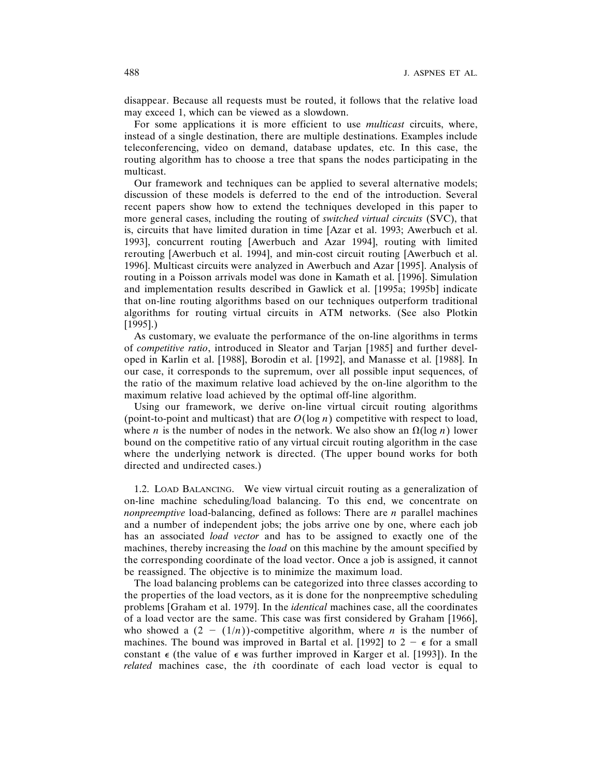disappear. Because all requests must be routed, it follows that the relative load may exceed 1, which can be viewed as a slowdown.

For some applications it is more efficient to use *multicast* circuits, where, instead of a single destination, there are multiple destinations. Examples include teleconferencing, video on demand, database updates, etc. In this case, the routing algorithm has to choose a tree that spans the nodes participating in the multicast.

Our framework and techniques can be applied to several alternative models; discussion of these models is deferred to the end of the introduction. Several recent papers show how to extend the techniques developed in this paper to more general cases, including the routing of *switched virtual circuits* (SVC), that is, circuits that have limited duration in time [Azar et al. 1993; Awerbuch et al. 1993], concurrent routing [Awerbuch and Azar 1994], routing with limited rerouting [Awerbuch et al. 1994], and min-cost circuit routing [Awerbuch et al. 1996]. Multicast circuits were analyzed in Awerbuch and Azar [1995]. Analysis of routing in a Poisson arrivals model was done in Kamath et al. [1996]. Simulation and implementation results described in Gawlick et al. [1995a; 1995b] indicate that on-line routing algorithms based on our techniques outperform traditional algorithms for routing virtual circuits in ATM networks. (See also Plotkin [1995].)

As customary, we evaluate the performance of the on-line algorithms in terms of *competitive ratio*, introduced in Sleator and Tarjan [1985] and further developed in Karlin et al. [1988], Borodin et al. [1992], and Manasse et al. [1988]. In our case, it corresponds to the supremum, over all possible input sequences, of the ratio of the maximum relative load achieved by the on-line algorithm to the maximum relative load achieved by the optimal off-line algorithm.

Using our framework, we derive on-line virtual circuit routing algorithms (point-to-point and multicast) that are *O*(log *n*) competitive with respect to load, where *n* is the number of nodes in the network. We also show an  $\Omega(\log n)$  lower bound on the competitive ratio of any virtual circuit routing algorithm in the case where the underlying network is directed. (The upper bound works for both directed and undirected cases.)

1.2. LOAD BALANCING. We view virtual circuit routing as a generalization of on-line machine scheduling/load balancing. To this end, we concentrate on *nonpreemptive* load-balancing, defined as follows: There are *n* parallel machines and a number of independent jobs; the jobs arrive one by one, where each job has an associated *load vector* and has to be assigned to exactly one of the machines, thereby increasing the *load* on this machine by the amount specified by the corresponding coordinate of the load vector. Once a job is assigned, it cannot be reassigned. The objective is to minimize the maximum load.

The load balancing problems can be categorized into three classes according to the properties of the load vectors, as it is done for the nonpreemptive scheduling problems [Graham et al. 1979]. In the *identical* machines case, all the coordinates of a load vector are the same. This case was first considered by Graham [1966], who showed a  $(2 - (1/n))$ -competitive algorithm, where *n* is the number of machines. The bound was improved in Bartal et al. [1992] to  $2 - \epsilon$  for a small constant  $\epsilon$  (the value of  $\epsilon$  was further improved in Karger et al. [1993]). In the *related* machines case, the *i*th coordinate of each load vector is equal to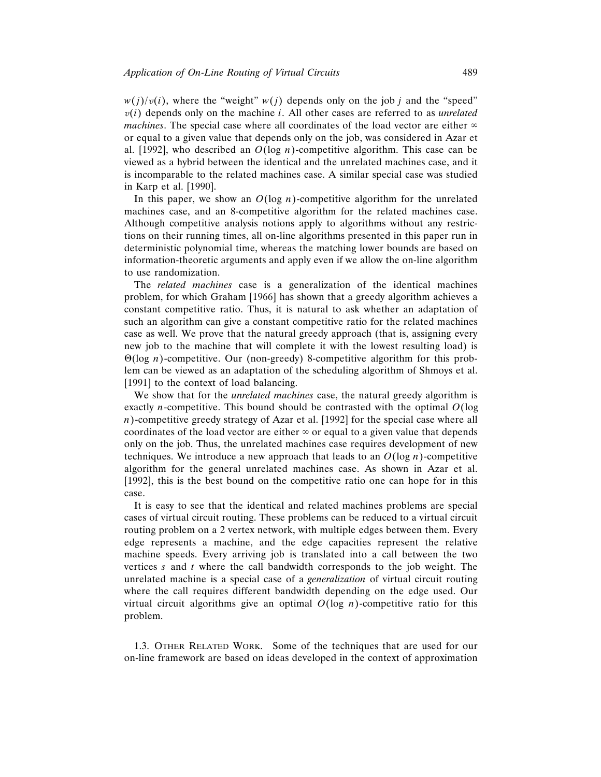$w(j)/v(i)$ , where the "weight"  $w(j)$  depends only on the job *j* and the "speed"  $v(i)$  depends only on the machine *i*. All other cases are referred to as *unrelated machines*. The special case where all coordinates of the load vector are either  $\infty$ or equal to a given value that depends only on the job, was considered in Azar et al. [1992], who described an *O*(log *n*)-competitive algorithm. This case can be viewed as a hybrid between the identical and the unrelated machines case, and it is incomparable to the related machines case. A similar special case was studied in Karp et al. [1990].

In this paper, we show an  $O(\log n)$ -competitive algorithm for the unrelated machines case, and an 8-competitive algorithm for the related machines case. Although competitive analysis notions apply to algorithms without any restrictions on their running times, all on-line algorithms presented in this paper run in deterministic polynomial time, whereas the matching lower bounds are based on information-theoretic arguments and apply even if we allow the on-line algorithm to use randomization.

The *related machines* case is a generalization of the identical machines problem, for which Graham [1966] has shown that a greedy algorithm achieves a constant competitive ratio. Thus, it is natural to ask whether an adaptation of such an algorithm can give a constant competitive ratio for the related machines case as well. We prove that the natural greedy approach (that is, assigning every new job to the machine that will complete it with the lowest resulting load) is Q(log *n*)-competitive. Our (non-greedy) 8-competitive algorithm for this problem can be viewed as an adaptation of the scheduling algorithm of Shmoys et al. [1991] to the context of load balancing.

We show that for the *unrelated machines* case, the natural greedy algorithm is exactly *n*-competitive. This bound should be contrasted with the optimal *O*(log *n*)-competitive greedy strategy of Azar et al. [1992] for the special case where all coordinates of the load vector are either  $\infty$  or equal to a given value that depends only on the job. Thus, the unrelated machines case requires development of new techniques. We introduce a new approach that leads to an  $O(\log n)$ -competitive algorithm for the general unrelated machines case. As shown in Azar et al. [1992], this is the best bound on the competitive ratio one can hope for in this case.

It is easy to see that the identical and related machines problems are special cases of virtual circuit routing. These problems can be reduced to a virtual circuit routing problem on a 2 vertex network, with multiple edges between them. Every edge represents a machine, and the edge capacities represent the relative machine speeds. Every arriving job is translated into a call between the two vertices *s* and *t* where the call bandwidth corresponds to the job weight. The unrelated machine is a special case of a *generalization* of virtual circuit routing where the call requires different bandwidth depending on the edge used. Our virtual circuit algorithms give an optimal  $O(\log n)$ -competitive ratio for this problem.

1.3. OTHER RELATED WORK. Some of the techniques that are used for our on-line framework are based on ideas developed in the context of approximation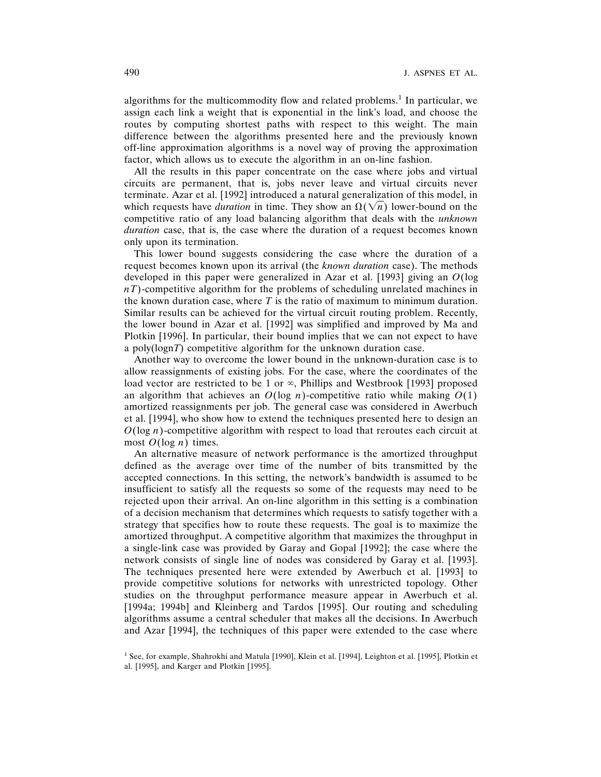algorithms for the multicommodity flow and related problems.<sup>1</sup> In particular, we assign each link a weight that is exponential in the link's load, and choose the routes by computing shortest paths with respect to this weight. The main difference between the algorithms presented here and the previously known off-line approximation algorithms is a novel way of proving the approximation factor, which allows us to execute the algorithm in an on-line fashion.

All the results in this paper concentrate on the case where jobs and virtual circuits are permanent, that is, jobs never leave and virtual circuits never terminate. Azar et al. [1992] introduced a natural generalization of this model, in which requests have *duration* in time. They show an  $\Omega(\sqrt{n})$  lower-bound on the competitive ratio of any load balancing algorithm that deals with the *unknown duration* case, that is, the case where the duration of a request becomes known only upon its termination.

This lower bound suggests considering the case where the duration of a request becomes known upon its arrival (the *known duration* case). The methods developed in this paper were generalized in Azar et al. [1993] giving an *O*(log *nT*)-competitive algorithm for the problems of scheduling unrelated machines in the known duration case, where *T* is the ratio of maximum to minimum duration. Similar results can be achieved for the virtual circuit routing problem. Recently, the lower bound in Azar et al. [1992] was simplified and improved by Ma and Plotkin [1996]. In particular, their bound implies that we can not expect to have a poly(logn*T*) competitive algorithm for the unknown duration case.

Another way to overcome the lower bound in the unknown-duration case is to allow reassignments of existing jobs. For the case, where the coordinates of the load vector are restricted to be 1 or  $\infty$ , Phillips and Westbrook [1993] proposed an algorithm that achieves an  $O(\log n)$ -competitive ratio while making  $O(1)$ amortized reassignments per job. The general case was considered in Awerbuch et al. [1994], who show how to extend the techniques presented here to design an *O*(log *n*)-competitive algorithm with respect to load that reroutes each circuit at most  $O(\log n)$  times.

An alternative measure of network performance is the amortized throughput defined as the average over time of the number of bits transmitted by the accepted connections. In this setting, the network's bandwidth is assumed to be insufficient to satisfy all the requests so some of the requests may need to be rejected upon their arrival. An on-line algorithm in this setting is a combination of a decision mechanism that determines which requests to satisfy together with a strategy that specifies how to route these requests. The goal is to maximize the amortized throughput. A competitive algorithm that maximizes the throughput in a single-link case was provided by Garay and Gopal [1992]; the case where the network consists of single line of nodes was considered by Garay et al. [1993]. The techniques presented here were extended by Awerbuch et al. [1993] to provide competitive solutions for networks with unrestricted topology. Other studies on the throughput performance measure appear in Awerbuch et al. [1994a; 1994b] and Kleinberg and Tardos [1995]. Our routing and scheduling algorithms assume a central scheduler that makes all the decisions. In Awerbuch and Azar [1994], the techniques of this paper were extended to the case where

<sup>&</sup>lt;sup>1</sup> See, for example, Shahrokhi and Matula [1990], Klein et al. [1994], Leighton et al. [1995], Plotkin et al. [1995], and Karger and Plotkin [1995].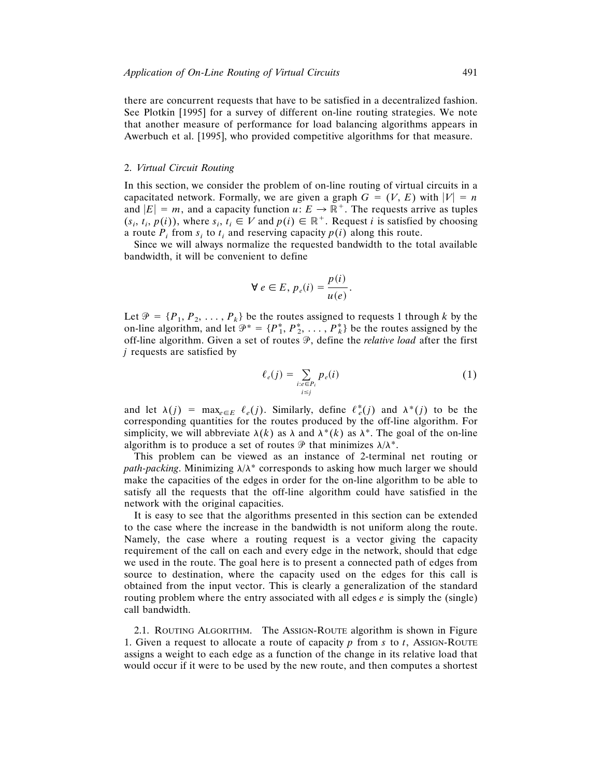there are concurrent requests that have to be satisfied in a decentralized fashion. See Plotkin [1995] for a survey of different on-line routing strategies. We note that another measure of performance for load balancing algorithms appears in Awerbuch et al. [1995], who provided competitive algorithms for that measure.

## 2. *Virtual Circuit Routing*

In this section, we consider the problem of on-line routing of virtual circuits in a capacitated network. Formally, we are given a graph  $G = (V, E)$  with  $|V| = n$ and  $|E| = m$ , and a capacity function *u*:  $E \rightarrow \mathbb{R}^+$ . The requests arrive as tuples  $(s_i, t_i, p(i))$ , where  $s_i, t_i \in V$  and  $p(i) \in \mathbb{R}^+$ . Request *i* is satisfied by choosing a route  $P_i$  from  $s_i$  to  $t_i$  and reserving capacity  $p(i)$  along this route.

Since we will always normalize the requested bandwidth to the total available bandwidth, it will be convenient to define

$$
\forall e \in E, p_e(i) = \frac{p(i)}{u(e)}.
$$

Let  $\mathcal{P} = \{P_1, P_2, \ldots, P_k\}$  be the routes assigned to requests 1 through *k* by the on-line algorithm, and let  $\mathcal{P}^* = \{P_1^*, P_2^*, \ldots, P_k^*\}$  be the routes assigned by the off-line algorithm. Given a set of routes  $\mathcal{P}$ , define the *relative load* after the first *j* requests are satisfied by

$$
\ell_e(j) = \sum_{\substack{i:e \in P_i \\ i \le j}} p_e(i) \tag{1}
$$

and let  $\lambda(j) = \max_{e \in E} \ell_e(j)$ . Similarly, define  $\ell_e^*(j)$  and  $\lambda^*(j)$  to be the corresponding quantities for the routes produced by the off-line algorithm. For simplicity, we will abbreviate  $\lambda(k)$  as  $\lambda$  and  $\lambda^*(k)$  as  $\lambda^*$ . The goal of the on-line algorithm is to produce a set of routes  $\mathcal{P}$  that minimizes  $\lambda/\lambda^*$ .

This problem can be viewed as an instance of 2-terminal net routing or *path-packing*. Minimizing  $\lambda/\lambda^*$  corresponds to asking how much larger we should make the capacities of the edges in order for the on-line algorithm to be able to satisfy all the requests that the off-line algorithm could have satisfied in the network with the original capacities.

It is easy to see that the algorithms presented in this section can be extended to the case where the increase in the bandwidth is not uniform along the route. Namely, the case where a routing request is a vector giving the capacity requirement of the call on each and every edge in the network, should that edge we used in the route. The goal here is to present a connected path of edges from source to destination, where the capacity used on the edges for this call is obtained from the input vector. This is clearly a generalization of the standard routing problem where the entry associated with all edges *e* is simply the (single) call bandwidth.

2.1. ROUTING ALGORITHM. The ASSIGN-ROUTE algorithm is shown in Figure 1. Given a request to allocate a route of capacity *p* from *s* to *t*, ASSIGN-ROUTE assigns a weight to each edge as a function of the change in its relative load that would occur if it were to be used by the new route, and then computes a shortest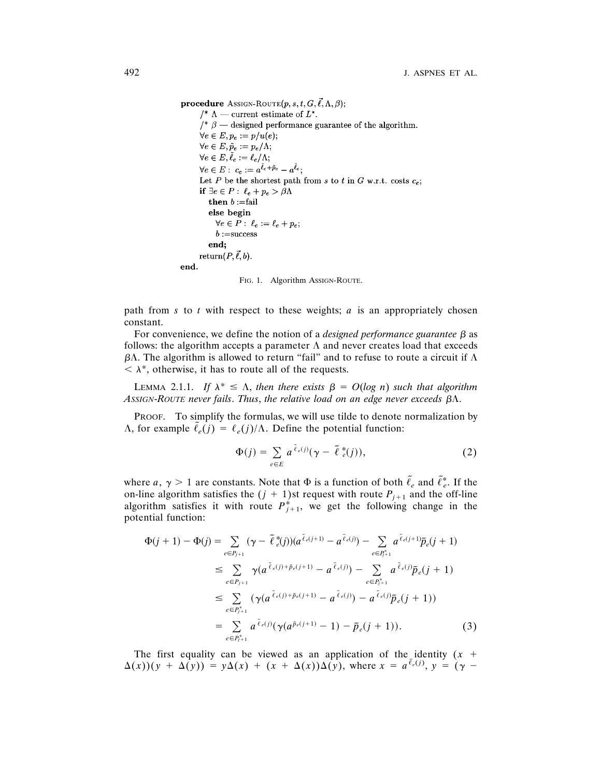**procedure** ASSIGN-ROUTE $(p, s, t, G, \vec{\ell}, \Lambda, \beta)$ ; /\*  $\Lambda$  – current estimate of  $L^*$ .  $\gamma^* \beta$  — designed performance guarantee of the algorithm.  $\forall e \in E, p_e := p/u(e);$  $\forall e \in E, \tilde{p}_e := p_e/\Lambda;$  $\forall e \in E, \tilde{\ell}_e := \ell_e/\Lambda;$  $\forall e \in E: c_e := a^{\tilde{\ell}_e + \tilde{p}_e} - a^{\tilde{\ell}_e};$ Let P be the shortest path from s to t in G w.r.t. costs  $c_e$ ; if  $\exists e \in P: \ell_e + p_e > \beta \Lambda$ then  $b :=$ fail else begin  $\forall e \in P: \ell_e := \ell_e + p_e;$  $b :=$ success end; return $(P, \vec{\ell}, b)$ . end.

FIG. 1. Algorithm ASSIGN-ROUTE.

path from *s* to *t* with respect to these weights; *a* is an appropriately chosen constant.

For convenience, we define the notion of a *designed performance guarantee*  $\beta$  as follows: the algorithm accepts a parameter  $\Lambda$  and never creates load that exceeds  $\beta\Lambda$ . The algorithm is allowed to return "fail" and to refuse to route a circuit if  $\Lambda$  $\langle \lambda^*, \rangle$  otherwise, it has to route all of the requests.

LEMMA 2.1.1. *If*  $\lambda^* \leq \Lambda$ , *then there exists*  $\beta = O(\log n)$  *such that algorithm ASSIGN*-*ROUTE never fails*. *Thus*, *the relative load on an edge never exceeds* bL.

PROOF. To simplify the formulas, we will use tilde to denote normalization by  $\Lambda$ , for example  $\tilde{\ell}_e(j) = \ell_e(j)/\Lambda$ . Define the potential function:

$$
\Phi(j) = \sum_{e \in E} a^{\tilde{\ell}_e(j)} (\gamma - \tilde{\ell}_e^*(j)), \qquad (2)
$$

where *a*,  $\gamma > 1$  are constants. Note that  $\Phi$  is a function of both  $\tilde{\ell}_e$  and  $\tilde{\ell}_e^*$ . If the on-line algorithm satisfies the  $(j + 1)$ st request with route  $P_{j+1}$  and the off-line algorithm satisfies it with route  $P_{j+1}^*$ , we get the following change in the potential function:

$$
\Phi(j+1) - \Phi(j) = \sum_{e \in P_{j+1}} (\gamma - \tilde{\ell}_e^*(j))(a^{\tilde{\ell}_e(j+1)} - a^{\tilde{\ell}_e(j)}) - \sum_{e \in P_{j+1}^*} a^{\tilde{\ell}_e(j+1)}\tilde{p}_e(j+1)
$$
\n
$$
\leq \sum_{e \in P_{j+1}} \gamma(a^{\tilde{\ell}_e(j)+\tilde{p}_e(j+1)} - a^{\tilde{\ell}_e(j)}) - \sum_{e \in P_{j+1}^*} a^{\tilde{\ell}_e(j)}\tilde{p}_e(j+1)
$$
\n
$$
\leq \sum_{e \in P_{j+1}^*} (\gamma(a^{\tilde{\ell}_e(j)+\tilde{p}_e(j+1)} - a^{\tilde{\ell}_e(j)}) - a^{\tilde{\ell}_e(j)}\tilde{p}_e(j+1))
$$
\n
$$
= \sum_{e \in P_{j+1}^*} a^{\tilde{\ell}_e(j)}(\gamma(a^{\tilde{p}_e(j+1)} - 1) - \tilde{p}_e(j+1)). \tag{3}
$$

The first equality can be viewed as an application of the identity  $(x +$  $\Delta(x)(y + \Delta(y)) = y\Delta(x) + (x + \Delta(x))\Delta(y)$ , where  $x = a^{\tilde{\ell}_{e}(j)}$ ,  $y = (\gamma - \Delta(x))$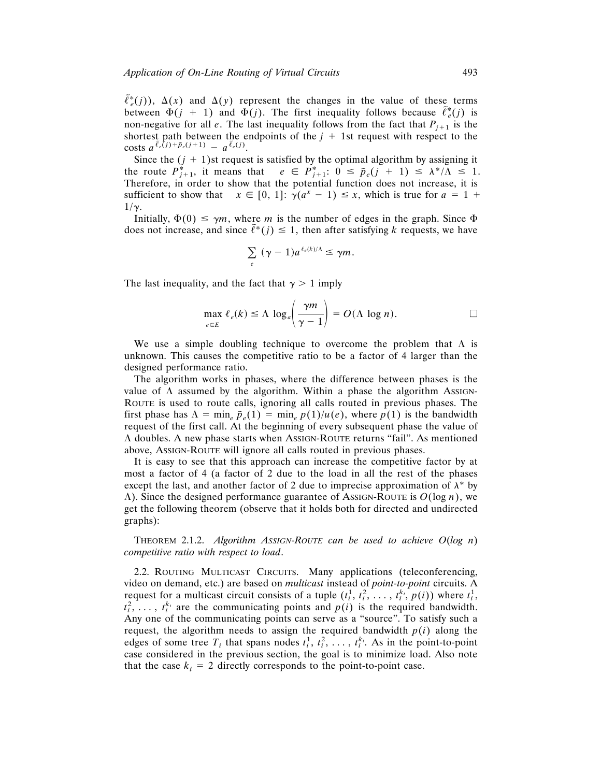$\tilde{\ell}_e^*(j)$ ,  $\Delta(x)$  and  $\Delta(y)$  represent the changes in the value of these terms between  $\Phi(j + 1)$  and  $\Phi(j)$ . The first inequality follows because  $\tilde{\ell}_e^*(j)$  is non-negative for all  $e$ . The last inequality follows from the fact that  $P_{j+1}$  is the shortest path between the endpoints of the  $j + 1$ st request with respect to the shortest path between the c<br>costs  $a^{\tilde{\ell}_e(j)+\tilde{p}_e(j+1)} - a^{\tilde{\ell}_e(j)}$ .

Since the  $(j + 1)$ st request is satisfied by the optimal algorithm by assigning it the route  $P_{j+1}^*$ , it means that  $e \in P_{j+1}^*$ :  $0 \leq \tilde{p}_e(j+1) \leq \lambda^*/\Lambda \leq 1$ . Therefore, in order to show that the potential function does not increase, it is sufficient to show that  $x \in [0, 1]$ :  $\gamma(a^x - 1) \le x$ , which is true for  $a = 1 +$  $1/\gamma$ .

Initially,  $\Phi(0) \le \gamma m$ , where *m* is the number of edges in the graph. Since  $\Phi$ does not increase, and since  $\ell^*(j) \leq 1$ , then after satisfying *k* requests, we have

$$
\sum_{e} (\gamma - 1) a^{\ell_e(k)/\Lambda} \leq \gamma m.
$$

The last inequality, and the fact that  $\gamma > 1$  imply

$$
\max_{e \in E} \ell_e(k) \le \Lambda \log_a \left( \frac{\gamma m}{\gamma - 1} \right) = O(\Lambda \log n).
$$

We use a simple doubling technique to overcome the problem that  $\Lambda$  is unknown. This causes the competitive ratio to be a factor of 4 larger than the designed performance ratio.

The algorithm works in phases, where the difference between phases is the value of  $\Lambda$  assumed by the algorithm. Within a phase the algorithm Assign-ROUTE is used to route calls, ignoring all calls routed in previous phases. The first phase has  $\Lambda = \min_e \tilde{p}_e(1) = \min_e p(1)/u(e)$ , where  $p(1)$  is the bandwidth request of the first call. At the beginning of every subsequent phase the value of  $\Lambda$  doubles. A new phase starts when Assign-Route returns "fail". As mentioned above, ASSIGN-ROUTE will ignore all calls routed in previous phases.

It is easy to see that this approach can increase the competitive factor by at most a factor of 4 (a factor of 2 due to the load in all the rest of the phases except the last, and another factor of 2 due to imprecise approximation of  $\lambda^*$  by  $\Lambda$ ). Since the designed performance guarantee of Assign-Route is  $O(\log n)$ , we get the following theorem (observe that it holds both for directed and undirected graphs):

THEOREM 2.1.2. *Algorithm ASSIGN*-*ROUTE can be used to achieve O*(*log n*) *competitive ratio with respect to load*.

2.2. ROUTING MULTICAST CIRCUITS. Many applications (teleconferencing, video on demand, etc.) are based on *multicast* instead of *point-to-point* circuits. A request for a multicast circuit consists of a tuple  $(t_i^1, t_i^2, \ldots, t_i^{k_i}, p(i))$  where  $t_i^1$ ,  $t_i^2$ , ...,  $t_i^{k_i}$  are the communicating points and  $p(i)$  is the required bandwidth. Any one of the communicating points can serve as a "source". To satisfy such a request, the algorithm needs to assign the required bandwidth  $p(i)$  along the edges of some tree  $T_i$  that spans nodes  $t_i^1, t_i^2, \ldots, t_i^{k_i}$ . As in the point-to-point case considered in the previous section, the goal is to minimize load. Also note that the case  $k_i = 2$  directly corresponds to the point-to-point case.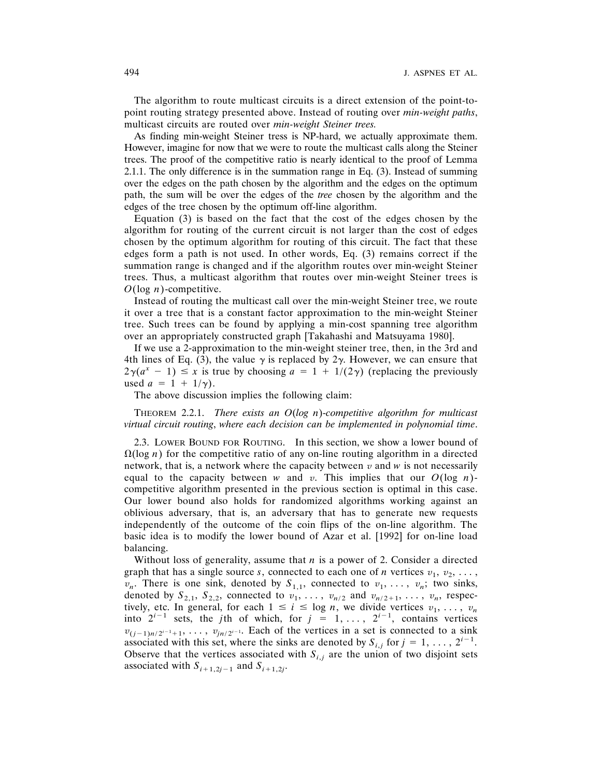The algorithm to route multicast circuits is a direct extension of the point-topoint routing strategy presented above. Instead of routing over *min-weight paths*, multicast circuits are routed over *min-weight Steiner trees.*

As finding min-weight Steiner tress is NP-hard, we actually approximate them. However, imagine for now that we were to route the multicast calls along the Steiner trees. The proof of the competitive ratio is nearly identical to the proof of Lemma 2.1.1. The only difference is in the summation range in Eq. (3). Instead of summing over the edges on the path chosen by the algorithm and the edges on the optimum path, the sum will be over the edges of the *tree* chosen by the algorithm and the edges of the tree chosen by the optimum off-line algorithm.

Equation (3) is based on the fact that the cost of the edges chosen by the algorithm for routing of the current circuit is not larger than the cost of edges chosen by the optimum algorithm for routing of this circuit. The fact that these edges form a path is not used. In other words, Eq. (3) remains correct if the summation range is changed and if the algorithm routes over min-weight Steiner trees. Thus, a multicast algorithm that routes over min-weight Steiner trees is *O*(log *n*)-competitive.

Instead of routing the multicast call over the min-weight Steiner tree, we route it over a tree that is a constant factor approximation to the min-weight Steiner tree. Such trees can be found by applying a min-cost spanning tree algorithm over an appropriately constructed graph [Takahashi and Matsuyama 1980].

If we use a 2-approximation to the min-weight steiner tree, then, in the 3rd and 4th lines of Eq. (3), the value  $\gamma$  is replaced by 2 $\gamma$ . However, we can ensure that  $2\gamma(a^x - 1) \le x$  is true by choosing  $a = 1 + 1/(2\gamma)$  (replacing the previously used  $a = 1 + 1/\gamma$ .

The above discussion implies the following claim:

THEOREM 2.2.1. *There exists an O*(*log n*)-*competitive algorithm for multicast virtual circuit routing*, *where each decision can be implemented in polynomial time*.

2.3. LOWER BOUND FOR ROUTING. In this section, we show a lower bound of  $\Omega(\log n)$  for the competitive ratio of any on-line routing algorithm in a directed network, that is, a network where the capacity between  $\nu$  and  $\nu$  is not necessarily equal to the capacity between *w* and *v*. This implies that our  $O(\log n)$ competitive algorithm presented in the previous section is optimal in this case. Our lower bound also holds for randomized algorithms working against an oblivious adversary, that is, an adversary that has to generate new requests independently of the outcome of the coin flips of the on-line algorithm. The basic idea is to modify the lower bound of Azar et al. [1992] for on-line load balancing.

Without loss of generality, assume that *n* is a power of 2. Consider a directed graph that has a single source *s*, connected to each one of *n* vertices  $v_1, v_2, \ldots$ ,  $v_n$ . There is one sink, denoted by  $S_{1,1}$ , connected to  $v_1, \ldots, v_n$ ; two sinks, denoted by  $S_{2,1}$ ,  $S_{2,2}$ , connected to  $v_1, \ldots, v_{n/2}$  and  $v_{n/2+1}, \ldots, v_n$ , respectively, etc. In general, for each  $1 \le i \le \log n$ , we divide vertices  $v_1, \ldots, v_n$ into  $2^{i-1}$  sets, the *j*th of which, for  $j = 1, \ldots, 2^{i-1}$ , contains vertices  $v_{(j-1)n/2^{i-1}+1}, \ldots, v_{jn/2^{i-1}}$ . Each of the vertices in a set is connected to a sink associated with this set, where the sinks are denoted by  $S_{i,j}$  for  $j = 1, \ldots, 2^{i-1}$ . Observe that the vertices associated with  $S_{i,j}$  are the union of two disjoint sets associated with  $S_{i+1,2j-1}$  and  $S_{i+1,2j}$ .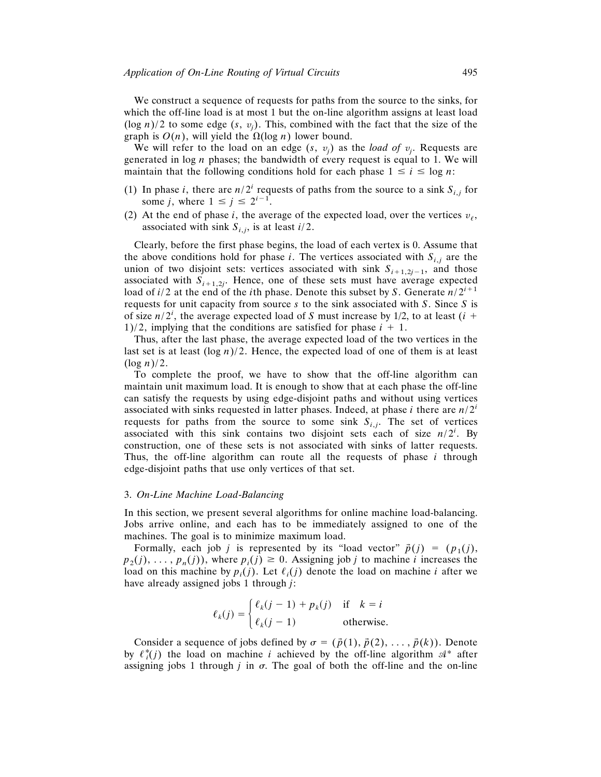We construct a sequence of requests for paths from the source to the sinks, for which the off-line load is at most 1 but the on-line algorithm assigns at least load  $(\log n)/2$  to some edge  $(s, v_j)$ . This, combined with the fact that the size of the graph is  $O(n)$ , will yield the  $\Omega(\log n)$  lower bound.

We will refer to the load on an edge  $(s, v_j)$  as the *load of*  $v_j$ . Requests are generated in log *n* phases; the bandwidth of every request is equal to 1. We will maintain that the following conditions hold for each phase  $1 \le i \le \log n$ :

- (1) In phase *i*, there are  $n/2^i$  requests of paths from the source to a sink  $S_{i,j}$  for some *j*, where  $1 \le j \le 2^{i-1}$ .
- (2) At the end of phase *i*, the average of the expected load, over the vertices  $v_{\ell}$ , associated with sink  $S_{i,j}$ , is at least  $i/2$ .

Clearly, before the first phase begins, the load of each vertex is 0. Assume that the above conditions hold for phase *i*. The vertices associated with  $S_{i,j}$  are the union of two disjoint sets: vertices associated with sink  $S_{i+1,2j-1}$ , and those associated with  $S_{i+1,2j}$ . Hence, one of these sets must have average expected load of  $i/2$  at the end of the *i*th phase. Denote this subset by *S*. Generate  $n/2^{i+1}$ requests for unit capacity from source *s* to the sink associated with *S*. Since *S* is of size  $n/2^i$ , the average expected load of *S* must increase by 1/2, to at least (*i* + 1)/2, implying that the conditions are satisfied for phase  $i + 1$ .

Thus, after the last phase, the average expected load of the two vertices in the last set is at least  $(\log n)/2$ . Hence, the expected load of one of them is at least  $(\log n)/2$ .

To complete the proof, we have to show that the off-line algorithm can maintain unit maximum load. It is enough to show that at each phase the off-line can satisfy the requests by using edge-disjoint paths and without using vertices associated with sinks requested in latter phases. Indeed, at phase *i* there are  $n/2<sup>i</sup>$ requests for paths from the source to some sink  $S_{i,j}$ . The set of vertices associated with this sink contains two disjoint sets each of size  $n/2^i$ . By construction, one of these sets is not associated with sinks of latter requests. Thus, the off-line algorithm can route all the requests of phase *i* through edge-disjoint paths that use only vertices of that set.

# 3. *On*-*Line Machine Load*-*Balancing*

In this section, we present several algorithms for online machine load-balancing. Jobs arrive online, and each has to be immediately assigned to one of the machines. The goal is to minimize maximum load.

Formally, each job *j* is represented by its "load vector"  $\vec{p}(j) = (p_1(j)),$  $p_2(j), \ldots, p_n(j)$ , where  $p_i(j) \geq 0$ . Assigning job *j* to machine *i* increases the load on this machine by  $p_i(j)$ . Let  $\ell_i(j)$  denote the load on machine *i* after we have already assigned jobs 1 through *j*:

$$
\ell_k(j) = \begin{cases} \ell_k(j-1) + p_k(j) & \text{if } k = i \\ \ell_k(j-1) & \text{otherwise.} \end{cases}
$$

Consider a sequence of jobs defined by  $\sigma = (\vec{p}(1), \vec{p}(2), \dots, \vec{p}(k))$ . Denote by  $\ell_i^*(j)$  the load on machine *i* achieved by the off-line algorithm  $\mathcal{A}^*$  after assigning jobs 1 through *j* in  $\sigma$ . The goal of both the off-line and the on-line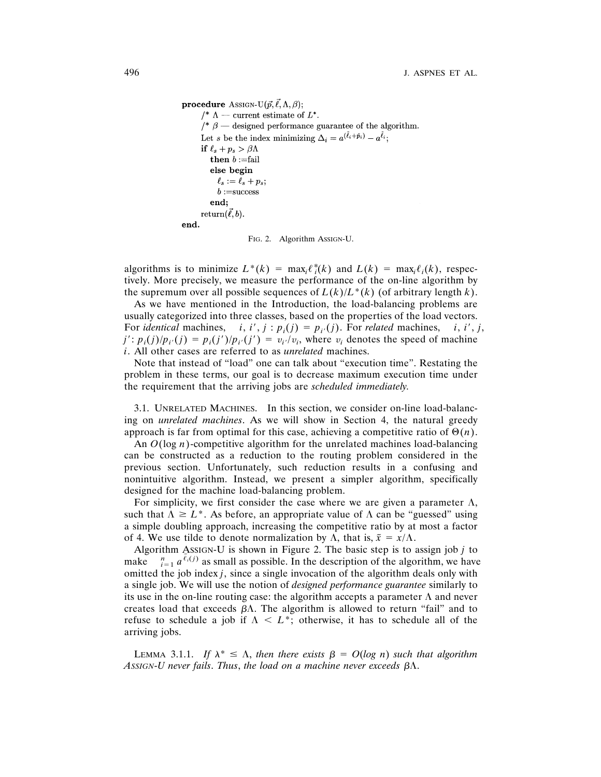```
procedure Assign-U(\vec{p}, \vec{\ell}, \Lambda, \beta);
       /* \Lambda — current estimate of L^*.
       /* \beta — designed performance guarantee of the algorithm.
      Let s be the index minimizing \Delta_i = a^{(\tilde{\ell}_i + \tilde{p}_i)} - a^{\tilde{\ell}_i};if \ell_s + p_s > \beta \Lambdathen b :=fail
          else begin
             \ell_s := \ell_s + p_s;b :=success
          end;
       return(\vec{\ell},b).
end.
```
FIG. 2. Algorithm ASSIGN-U.

algorithms is to minimize  $L^*(k) = \max_i \ell_i^*(k)$  and  $L(k) = \max_i \ell_i(k)$ , respectively. More precisely, we measure the performance of the on-line algorithm by the supremum over all possible sequences of  $L(k)/L^*(k)$  (of arbitrary length *k*).

As we have mentioned in the Introduction, the load-balancing problems are usually categorized into three classes, based on the properties of the load vectors. For *identical* machines, *i*, *i'*, *j* :  $p_i(j) = p_{i'}(j)$ . For *related* machines, *i*, *i'*, *j*,  $j'$ :  $p_i(j)/p_{i'}(j) = p_i(j')/p_{i'}(j') = v_{i'}/v_i$ , where  $v_i$  denotes the speed of machine *i*. All other cases are referred to as *unrelated* machines.

Note that instead of "load" one can talk about "execution time". Restating the problem in these terms, our goal is to decrease maximum execution time under the requirement that the arriving jobs are *scheduled immediately.*

3.1. UNRELATED MACHINES. In this section, we consider on-line load-balancing on *unrelated machines*. As we will show in Section 4, the natural greedy approach is far from optimal for this case, achieving a competitive ratio of  $\Theta(n)$ .

An *O*(log *n*)-competitive algorithm for the unrelated machines load-balancing can be constructed as a reduction to the routing problem considered in the previous section. Unfortunately, such reduction results in a confusing and nonintuitive algorithm. Instead, we present a simpler algorithm, specifically designed for the machine load-balancing problem.

For simplicity, we first consider the case where we are given a parameter  $\Lambda$ , such that  $\Lambda \geq L^*$ . As before, an appropriate value of  $\Lambda$  can be "guessed" using a simple doubling approach, increasing the competitive ratio by at most a factor of 4. We use tilde to denote normalization by  $\Lambda$ , that is,  $\tilde{x} = x/\Lambda$ .

Algorithm ASSIGN-U is shown in Figure 2. The basic step is to assign job *j* to make  $\sum_{i=1}^{n} a^{\ell_i(j)}$  as small as possible. In the description of the algorithm, we have omitted the job index *j*, since a single invocation of the algorithm deals only with a single job. We will use the notion of *designed performance guarantee* similarly to its use in the on-line routing case: the algorithm accepts a parameter  $\Lambda$  and never creates load that exceeds  $\beta\Lambda$ . The algorithm is allowed to return "fail" and to refuse to schedule a job if  $\Lambda < L^*$ ; otherwise, it has to schedule all of the arriving jobs.

LEMMA 3.1.1. If  $\lambda^* \leq \Lambda$ , *then there exists*  $\beta = O(log n)$  *such that algorithm ASSIGN*-*U never fails*. *Thus*, *the load on a machine never exceeds* bL.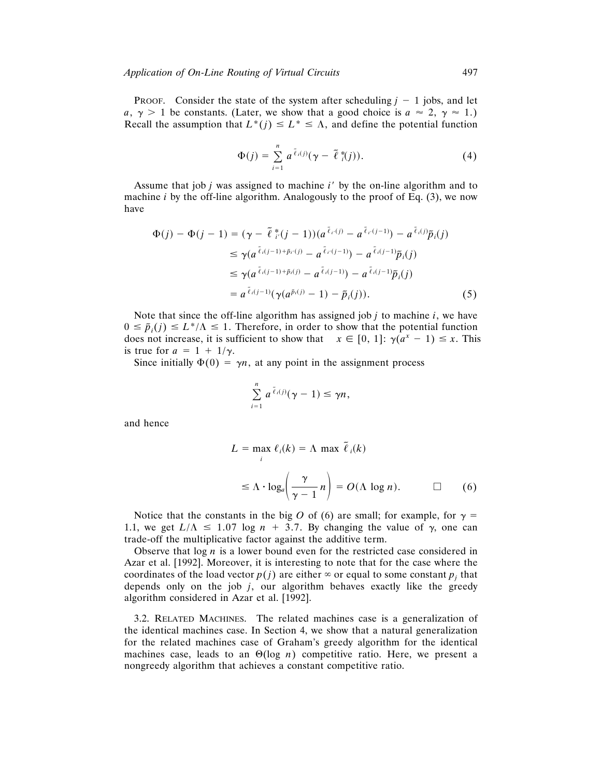PROOF. Consider the state of the system after scheduling  $j - 1$  jobs, and let  $a, \gamma > 1$  be constants. (Later, we show that a good choice is  $a \approx 2, \gamma \approx 1$ .) Recall the assumption that  $L^*(j) \leq L^* \leq \Lambda$ , and define the potential function

$$
\Phi(j) = \sum_{i=1}^{n} a^{\tilde{\ell}_{i}(j)} (\gamma - \tilde{\ell}^{*}_{i}(j)). \tag{4}
$$

Assume that job  $j$  was assigned to machine  $i'$  by the on-line algorithm and to machine  $i$  by the off-line algorithm. Analogously to the proof of Eq.  $(3)$ , we now have

$$
\Phi(j) - \Phi(j-1) = (\gamma - \tilde{\ell}_{i'}^*(j-1))(a^{\tilde{\ell}_{i'}(j)} - a^{\tilde{\ell}_{i'}(j-1)}) - a^{\tilde{\ell}_{i}(j)}\tilde{p}_i(j)
$$
\n
$$
\leq \gamma(a^{\tilde{\ell}_{i}(j-1) + \tilde{p}_{i'}(j)} - a^{\tilde{\ell}_{i'}(j-1)}) - a^{\tilde{\ell}_{i}(j-1)}\tilde{p}_i(j)
$$
\n
$$
\leq \gamma(a^{\tilde{\ell}_{i}(j-1) + \tilde{p}_i(j)} - a^{\tilde{\ell}_{i}(j-1)}) - a^{\tilde{\ell}_{i}(j-1)}\tilde{p}_i(j)
$$
\n
$$
= a^{\tilde{\ell}_{i}(j-1)}(\gamma(a^{\tilde{p}_i(j)} - 1) - \tilde{p}_i(j)). \tag{5}
$$

Note that since the off-line algorithm has assigned job *j* to machine *i*, we have  $0 \leq \tilde{p}_i(j) \leq L^*/\Lambda \leq 1$ . Therefore, in order to show that the potential function does not increase, it is sufficient to show that  $x \in [0, 1]$ :  $\gamma(a^x - 1) \le x$ . This is true for  $a = 1 + 1/\gamma$ .

Since initially  $\Phi(0) = \gamma n$ , at any point in the assignment process

$$
\sum_{i=1}^n a^{\tilde{\ell}_i(j)}(\gamma-1) \leq \gamma n,
$$

and hence

$$
L = \max_{i} \ell_{i}(k) = \Lambda \max \tilde{\ell}_{i}(k)
$$
  

$$
\leq \Lambda \cdot \log_{a} \left( \frac{\gamma}{\gamma - 1} n \right) = O(\Lambda \log n). \qquad \Box \qquad (6)
$$

Notice that the constants in the big *O* of (6) are small; for example, for  $\gamma =$ 1.1, we get  $L/\Lambda \le 1.07 \log n + 3.7$ . By changing the value of  $\gamma$ , one can trade-off the multiplicative factor against the additive term.

Observe that  $log n$  is a lower bound even for the restricted case considered in Azar et al. [1992]. Moreover, it is interesting to note that for the case where the coordinates of the load vector  $p(j)$  are either  $\infty$  or equal to some constant  $p_j$  that depends only on the job *j*, our algorithm behaves exactly like the greedy algorithm considered in Azar et al. [1992].

3.2. RELATED MACHINES. The related machines case is a generalization of the identical machines case. In Section 4, we show that a natural generalization for the related machines case of Graham's greedy algorithm for the identical machines case, leads to an  $\Theta(\log n)$  competitive ratio. Here, we present a nongreedy algorithm that achieves a constant competitive ratio.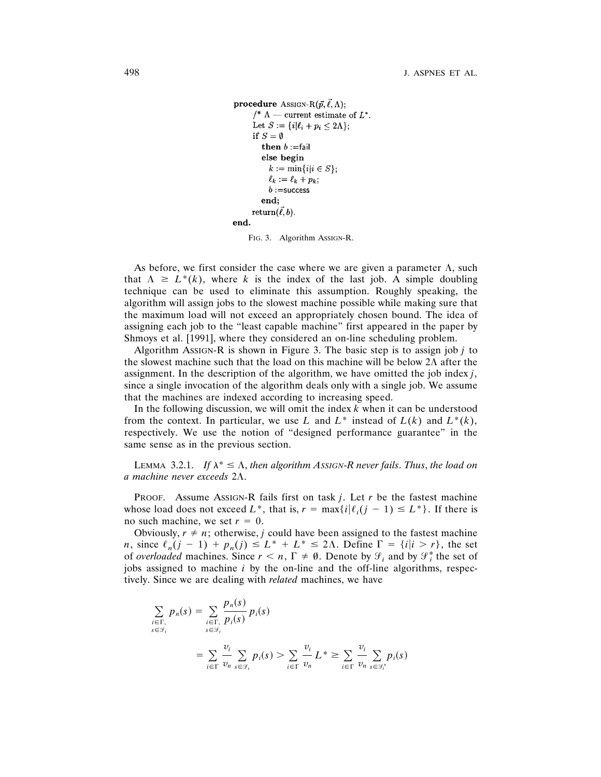```
procedure Assign-R(\vec{p}, \vec{\ell}, \Lambda):
       /* \Lambda – current estimate of L^*.
       Let S := \{i | \ell_i + p_i \leq 2\Lambda\};if S = \emptysetthen b :=fail
          else begin
            k := \min\{i | i \in S\};\ell_k := \ell_k + p_k;b :=success
         end;
       return(\vec{\ell},b).
end.
```
FIG. 3. Algorithm ASSIGN-R.

As before, we first consider the case where we are given a parameter  $\Lambda$ , such that  $\Lambda \geq L^*(k)$ , where k is the index of the last job. A simple doubling technique can be used to eliminate this assumption. Roughly speaking, the algorithm will assign jobs to the slowest machine possible while making sure that the maximum load will not exceed an appropriately chosen bound. The idea of assigning each job to the "least capable machine" first appeared in the paper by Shmoys et al. [1991], where they considered an on-line scheduling problem.

Algorithm ASSIGN-R is shown in Figure 3. The basic step is to assign job *j* to the slowest machine such that the load on this machine will be below  $2\Lambda$  after the assignment. In the description of the algorithm, we have omitted the job index *j*, since a single invocation of the algorithm deals only with a single job. We assume that the machines are indexed according to increasing speed.

In the following discussion, we will omit the index *k* when it can be understood from the context. In particular, we use *L* and  $L^*$  instead of  $L(k)$  and  $L^*(k)$ , respectively. We use the notion of "designed performance guarantee" in the same sense as in the previous section.

LEMMA 3.2.1. If  $\lambda^* \leq \Lambda$ , then algorithm AssiGN-R never fails. Thus, the load on *a machine never exceeds* 2L.

PROOF. Assume ASSIGN-R fails first on task *j*. Let *r* be the fastest machine whose load does not exceed  $L^*$ , that is,  $r = \max\{i | \ell_i(j-1) \le L^* \}$ . If there is no such machine, we set  $r = 0$ .

Obviously,  $r \neq n$ ; otherwise, *j* could have been assigned to the fastest machine *n*, since  $\ell_n(j - 1) + p_n(j) \le L^* + L^* \le 2\Lambda$ . Define  $\Gamma = \{i | i > r\}$ , the set of *overloaded* machines. Since  $r < n$ ,  $\Gamma \neq \emptyset$ . Denote by  $\mathcal{G}_i$  and by  $\mathcal{G}_i^*$  the set of jobs assigned to machine *i* by the on-line and the off-line algorithms, respectively. Since we are dealing with *related* machines, we have

$$
\sum_{\substack{i \in \Gamma, \\ s \in \mathcal{G}_i}} p_n(s) = \sum_{\substack{i \in \Gamma, \\ s \in \mathcal{G}_i}} \frac{p_n(s)}{p_i(s)} p_i(s)
$$
\n
$$
= \sum_{\substack{i \in \Gamma}} \frac{v_i}{v_n} \sum_{\substack{s \in \mathcal{G}_i}} p_i(s) > \sum_{\substack{i \in \Gamma}} \frac{v_i}{v_n} L^* \ge \sum_{\substack{i \in \Gamma}} \frac{v_i}{v_n} \sum_{\substack{s \in \mathcal{G}_i^*}} p_i(s)
$$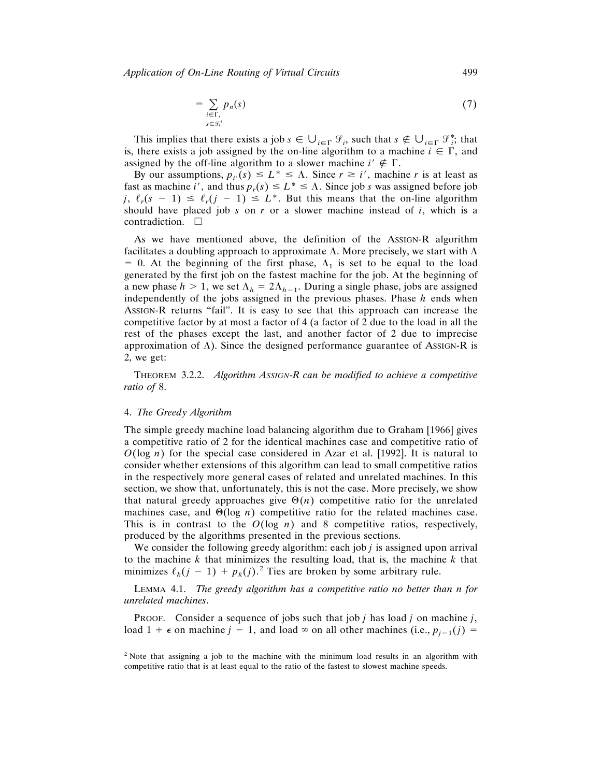*Application of On-Line Routing of Virtual Circuits* 499

$$
=\sum_{\substack{i\in\Gamma,\\\s\in\mathcal{G}_i^*}}p_n(s)\tag{7}
$$

This implies that there exists a job  $s \in \bigcup_{i \in \Gamma} \mathcal{G}_i$ , such that  $s \notin \bigcup_{i \in \Gamma} \mathcal{G}_i^*$ , that is, there exists a job assigned by the on-line algorithm to a machine  $i \in \Gamma$ , and assigned by the off-line algorithm to a slower machine  $i' \notin \Gamma$ .

By our assumptions,  $p_i(s) \leq L^* \leq \Lambda$ . Since  $r \geq i'$ , machine *r* is at least as fast as machine *i*<sup> $\prime$ </sup>, and thus  $p_r(s) \leq L^* \leq \Lambda$ . Since job *s* was assigned before job *j*,  $\ell_r(s-1) \leq \ell_r(j-1) \leq L^*$ . But this means that the on-line algorithm should have placed job *s* on *r* or a slower machine instead of *i*, which is a contradiction.  $\square$ 

As we have mentioned above, the definition of the ASSIGN-R algorithm facilitates a doubling approach to approximate  $\Lambda$ . More precisely, we start with  $\Lambda$ = 0. At the beginning of the first phase,  $\Lambda_1$  is set to be equal to the load generated by the first job on the fastest machine for the job. At the beginning of a new phase  $h > 1$ , we set  $\Lambda_h = 2\Lambda_{h-1}$ . During a single phase, jobs are assigned independently of the jobs assigned in the previous phases. Phase *h* ends when ASSIGN-R returns "fail". It is easy to see that this approach can increase the competitive factor by at most a factor of 4 (a factor of 2 due to the load in all the rest of the phases except the last, and another factor of 2 due to imprecise approximation of  $\Lambda$ ). Since the designed performance guarantee of Assign-R is 2, we get:

THEOREM 3.2.2. *Algorithm ASSIGN*-*R can be modified to achieve a competitive ratio of* 8.

## 4. *The Greedy Algorithm*

The simple greedy machine load balancing algorithm due to Graham [1966] gives a competitive ratio of 2 for the identical machines case and competitive ratio of  $O(\log n)$  for the special case considered in Azar et al. [1992]. It is natural to consider whether extensions of this algorithm can lead to small competitive ratios in the respectively more general cases of related and unrelated machines. In this section, we show that, unfortunately, this is not the case. More precisely, we show that natural greedy approaches give  $\Theta(n)$  competitive ratio for the unrelated machines case, and  $\Theta(\log n)$  competitive ratio for the related machines case. This is in contrast to the  $O(\log n)$  and 8 competitive ratios, respectively, produced by the algorithms presented in the previous sections.

We consider the following greedy algorithm: each job *j* is assigned upon arrival to the machine *k* that minimizes the resulting load, that is, the machine *k* that minimizes  $\ell_k(j-1) + p_k(j)$ .<sup>2</sup> Ties are broken by some arbitrary rule.

LEMMA 4.1. *The greedy algorithm has a competitive ratio no better than n for unrelated machines*.

PROOF. Consider a sequence of jobs such that job *j* has load *j* on machine *j*, load  $1 + \epsilon$  on machine  $j - 1$ , and load  $\infty$  on all other machines (i.e.,  $p_{j-1}(j) =$ 

<sup>2</sup> Note that assigning a job to the machine with the minimum load results in an algorithm with competitive ratio that is at least equal to the ratio of the fastest to slowest machine speeds.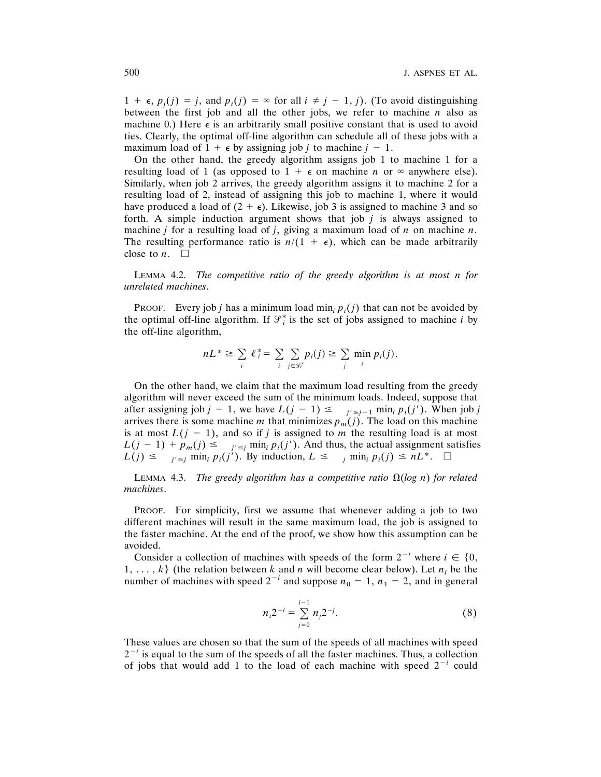$1 + \epsilon$ ,  $p_j(j) = j$ , and  $p_i(j) = \infty$  for all  $i \neq j - 1$ , *j*). (To avoid distinguishing between the first job and all the other jobs, we refer to machine *n* also as machine 0.) Here  $\epsilon$  is an arbitrarily small positive constant that is used to avoid ties. Clearly, the optimal off-line algorithm can schedule all of these jobs with a maximum load of  $1 + \epsilon$  by assigning job *j* to machine  $j - 1$ .

On the other hand, the greedy algorithm assigns job 1 to machine 1 for a resulting load of 1 (as opposed to  $1 + \epsilon$  on machine *n* or  $\infty$  anywhere else). Similarly, when job 2 arrives, the greedy algorithm assigns it to machine 2 for a resulting load of 2, instead of assigning this job to machine 1, where it would have produced a load of  $(2 + \epsilon)$ . Likewise, job 3 is assigned to machine 3 and so forth. A simple induction argument shows that job *j* is always assigned to machine *j* for a resulting load of *j*, giving a maximum load of *n* on machine *n*. The resulting performance ratio is  $n/(1 + \epsilon)$ , which can be made arbitrarily close to *n*.  $\square$ 

LEMMA 4.2. *The competitive ratio of the greedy algorithm is at most n for unrelated machines*.

PROOF. Every job *j* has a minimum load min<sub>*i*</sub>  $p_i(j)$  that can not be avoided by the optimal off-line algorithm. If  $\mathcal{F}_i^*$  is the set of jobs assigned to machine *i* by the off-line algorithm,

$$
nL^* \geq \sum_i \ell_i^* = \sum_i \sum_{j \in \mathcal{G}_i^*} p_i(j) \geq \sum_j \min_i p_i(j).
$$

On the other hand, we claim that the maximum load resulting from the greedy algorithm will never exceed the sum of the minimum loads. Indeed, suppose that after assigning job  $j - 1$ , we have  $L(j - 1) \leq j \leq j - 1$  min<sub>i</sub>  $p_i(j')$ . When job *j* arrives there is some machine *m* that minimizes  $p_m(j)$ . The load on this machine is at most  $L(j - 1)$ , and so if *j* is assigned to *m* the resulting load is at most  $L(j-1) + p_m(j) \leq j \leq j \min_i p_i(j').$  And thus, the actual assignment satisfies  $L(j) \leq j' \leq j$  min<sub>i</sub>  $p_i(j')$ . By induction,  $L \leq j$  min<sub>i</sub>  $p_i(j) \leq nL^*$ .  $\Box$ 

LEMMA 4.3. *The greedy algorithm has a competitive ratio*  $\Omega(\log n)$  for *related machines*.

PROOF. For simplicity, first we assume that whenever adding a job to two different machines will result in the same maximum load, the job is assigned to the faster machine. At the end of the proof, we show how this assumption can be avoided.

Consider a collection of machines with speeds of the form  $2^{-i}$  where  $i \in \{0,$ 1, ...,  $k$ } (the relation between  $k$  and  $n$  will become clear below). Let  $n_i$  be the number of machines with speed  $2^{-i}$  and suppose  $n_0 = 1$ ,  $n_1 = 2$ , and in general

$$
n_i 2^{-i} = \sum_{j=0}^{i-1} n_j 2^{-j}.
$$
 (8)

These values are chosen so that the sum of the speeds of all machines with speed  $2^{-i}$  is equal to the sum of the speeds of all the faster machines. Thus, a collection of jobs that would add 1 to the load of each machine with speed  $2^{-i}$  could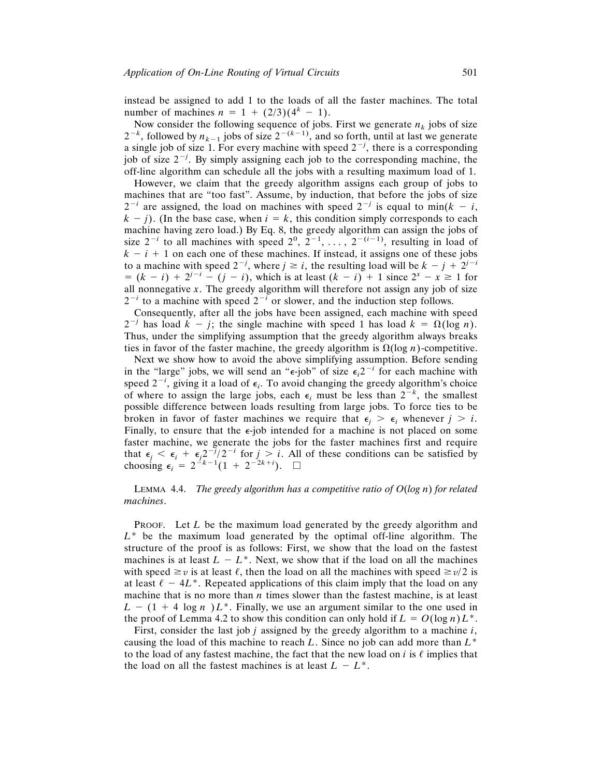instead be assigned to add 1 to the loads of all the faster machines. The total number of machines  $n = 1 + (2/3)(4^k - 1)$ .

Now consider the following sequence of jobs. First we generate  $n_k$  jobs of size  $2^{-k}$ , followed by  $n_{k-1}$  jobs of size  $2^{-(k-1)}$ , and so forth, until at last we generate a single job of size 1. For every machine with speed  $2^{-j}$ , there is a corresponding job of size  $2^{-j}$ . By simply assigning each job to the corresponding machine, the off-line algorithm can schedule all the jobs with a resulting maximum load of 1.

However, we claim that the greedy algorithm assigns each group of jobs to machines that are "too fast". Assume, by induction, that before the jobs of size  $2^{-i}$  are assigned, the load on machines with speed  $2^{-j}$  is equal to min( $k - i$ ,  $k - j$ ). (In the base case, when  $i = k$ , this condition simply corresponds to each machine having zero load.) By Eq. 8, the greedy algorithm can assign the jobs of size  $2^{-i}$  to all machines with speed  $2^0$ ,  $2^{-1}$ , ...,  $2^{-(i-1)}$ , resulting in load of  $k - i + 1$  on each one of these machines. If instead, it assigns one of these jobs to a machine with speed  $2^{-j}$ , where  $j \ge i$ , the resulting load will be  $k - j + 2^{j-i}$  $= (k - i) + 2^{j - i} - (j - i)$ , which is at least  $(k - i) + 1$  since  $2^{x} - x \ge 1$  for all nonnegative *x*. The greedy algorithm will therefore not assign any job of size  $2^{-i}$  to a machine with speed  $2^{-i}$  or slower, and the induction step follows.

Consequently, after all the jobs have been assigned, each machine with speed  $2^{-j}$  has load  $k - j$ ; the single machine with speed 1 has load  $k = \Omega(\log n)$ . Thus, under the simplifying assumption that the greedy algorithm always breaks ties in favor of the faster machine, the greedy algorithm is  $\Omega(\log n)$ -competitive.

Next we show how to avoid the above simplifying assumption. Before sending in the "large" jobs, we will send an " $\epsilon$ -job" of size  $\epsilon_i 2^{-i}$  for each machine with speed  $2^{-i}$ , giving it a load of  $\epsilon_i$ . To avoid changing the greedy algorithm's choice of where to assign the large jobs, each  $\epsilon_i$  must be less than  $2^{-k}$ , the smallest possible difference between loads resulting from large jobs. To force ties to be broken in favor of faster machines we require that  $\epsilon_i > \epsilon_i$  whenever  $j > i$ . Finally, to ensure that the <sup>e</sup>-job intended for a machine is not placed on some faster machine, we generate the jobs for the faster machines first and require that  $\epsilon_j < \epsilon_i + \epsilon_j 2^{-j/2}$  for  $j > i$ . All of these conditions can be satisfied by choosing  $\epsilon_i = 2^{-k-1}(1 + 2^{-2k+i})$ .  $\Box$ 

LEMMA 4.4. *The greedy algorithm has a competitive ratio of O*(*log n*) *for related machines*.

PROOF. Let *L* be the maximum load generated by the greedy algorithm and *L*\* be the maximum load generated by the optimal off-line algorithm. The structure of the proof is as follows: First, we show that the load on the fastest machines is at least  $L - L^*$ . Next, we show that if the load on all the machines with speed  $\geq v$  is at least  $\ell$ , then the load on all the machines with speed  $\geq v/2$  is at least  $\ell - 4L^*$ . Repeated applications of this claim imply that the load on any machine that is no more than *n* times slower than the fastest machine, is at least  $L - (1 + 4|\log n|)L^*$ . Finally, we use an argument similar to the one used in the proof of Lemma 4.2 to show this condition can only hold if  $L = O(\log n) L^*$ .

First, consider the last job *j* assigned by the greedy algorithm to a machine *i*, causing the load of this machine to reach *L*. Since no job can add more than *L*\* to the load of any fastest machine, the fact that the new load on  $i$  is  $\ell$  implies that the load on all the fastest machines is at least  $L - L^*$ .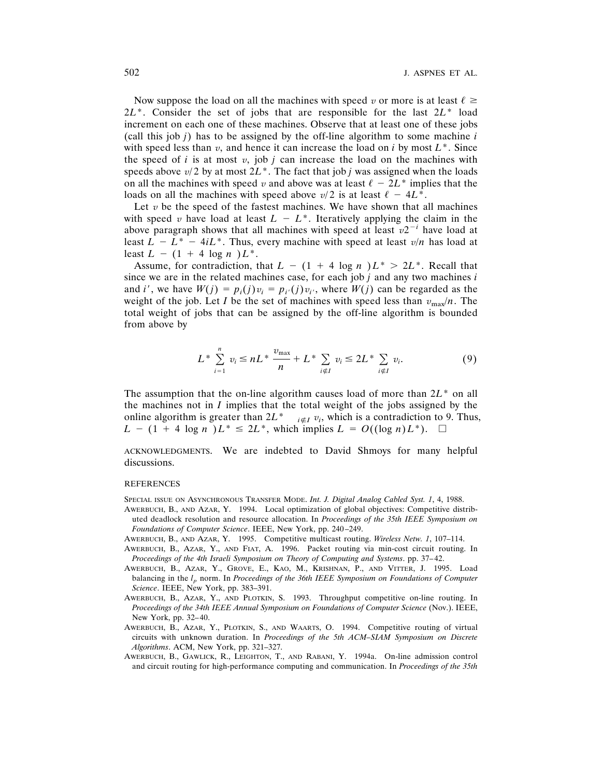Now suppose the load on all the machines with speed  $v$  or more is at least  $\ell \geq$ 2*L*\*. Consider the set of jobs that are responsible for the last 2*L*\* load increment on each one of these machines. Observe that at least one of these jobs (call this job *j*) has to be assigned by the off-line algorithm to some machine *i* with speed less than  $v$ , and hence it can increase the load on  $i$  by most  $L^*$ . Since the speed of  $i$  is at most  $v$ , job  $j$  can increase the load on the machines with speeds above  $v/2$  by at most  $2L^*$ . The fact that job *j* was assigned when the loads on all the machines with speed v and above was at least  $\ell - 2L^*$  implies that the loads on all the machines with speed above  $v/2$  is at least  $\ell - 4L^*$ .

Let  $v$  be the speed of the fastest machines. We have shown that all machines with speed *v* have load at least  $L - L^*$ . Iteratively applying the claim in the above paragraph shows that all machines with speed at least  $v2^{-i}$  have load at least  $L - L^* - 4iL^*$ . Thus, every machine with speed at least  $v/n$  has load at least  $L - (1 + 4 \lceil \log n \rceil) L^*$ .

Assume, for contradiction, that  $L - (1 + 4 \lceil \log n \rceil) L^* > 2L^*$ . Recall that since we are in the related machines case, for each job *j* and any two machines *i* and *i*<sup> $\prime$ </sup>, we have  $W(j) = p_i(j)v_i = p_{i'}(j)v_{i'}$ , where  $W(j)$  can be regarded as the weight of the job. Let *I* be the set of machines with speed less than  $v_{\text{max}}/n$ . The total weight of jobs that can be assigned by the off-line algorithm is bounded from above by

$$
L^* \sum_{i=1}^n v_i \le nL^* \frac{v_{\text{max}}}{n} + L^* \sum_{i \notin I} v_i \le 2L^* \sum_{i \notin I} v_i. \tag{9}
$$

The assumption that the on-line algorithm causes load of more than 2*L*\* on all the machines not in *I* implies that the total weight of the jobs assigned by the online algorithm is greater than  $2L^*$  *i* $\neq$ *l*  $v_i$ , which is a contradiction to 9. Thus,  $L - (1 + 4\lceil \log n \rceil) L^* \leq 2L^*$ , which implies  $L = O((\log n) L^*)$ .  $\Box$ 

ACKNOWLEDGMENTS. We are indebted to David Shmoys for many helpful discussions.

#### **REFERENCES**

SPECIAL ISSUE ON ASYNCHRONOUS TRANSFER MODE. *Int. J. Digital Analog Cabled Syst. 1*, 4, 1988.

- AWERBUCH, B., AND AZAR, Y. 1994. Local optimization of global objectives: Competitive distributed deadlock resolution and resource allocation. In *Proceedings of the 35th IEEE Symposium on Foundations of Computer Science*. IEEE, New York, pp. 240–249.
- AWERBUCH, B., AND AZAR, Y. 1995. Competitive multicast routing. *Wireless Netw. 1*, 107–114.
- AWERBUCH, B., AZAR, Y., AND FIAT, A. 1996. Packet routing via min-cost circuit routing. In *Proceedings of the 4th Israeli Symposium on Theory of Computing and Systems*. pp. 37–42.
- AWERBUCH, B., AZAR, Y., GROVE, E., KAO, M., KRISHNAN, P., AND VITTER, J. 1995. Load balancing in the *l<sup>p</sup>* norm. In *Proceedings of the 36th IEEE Symposium on Foundations of Computer Science*. IEEE, New York, pp. 383–391.
- AWERBUCH, B., AZAR, Y., AND PLOTKIN, S. 1993. Throughput competitive on-line routing. In *Proceedings of the 34th IEEE Annual Symposium on Foundations of Computer Science* (Nov.). IEEE, New York, pp. 32–40.
- AWERBUCH, B., AZAR, Y., PLOTKIN, S., AND WAARTS, O. 1994. Competitive routing of virtual circuits with unknown duration. In *Proceedings of the 5th ACM–SIAM Symposium on Discrete Algorithms*. ACM, New York, pp. 321–327.
- AWERBUCH, B., GAWLICK, R., LEIGHTON, T., AND RABANI, Y. 1994a. On-line admission control and circuit routing for high-performance computing and communication. In *Proceedings of the 35th*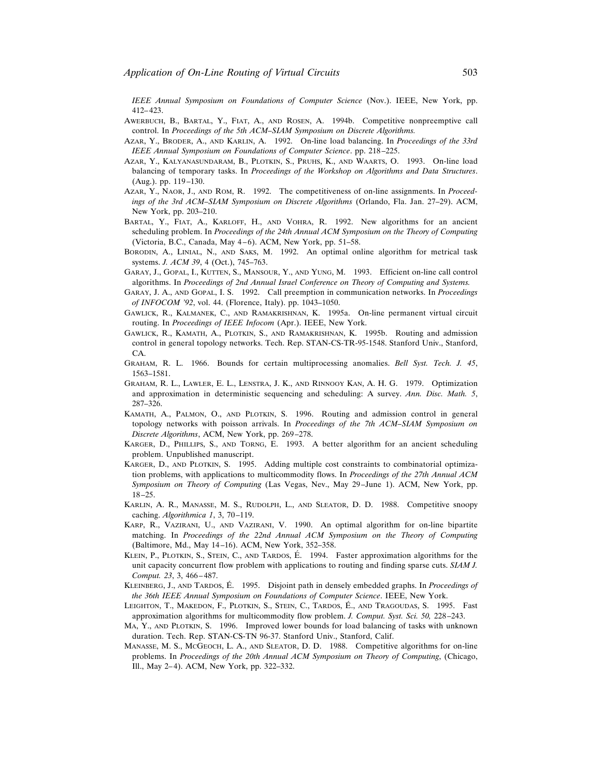*IEEE Annual Symposium on Foundations of Computer Science* (Nov.). IEEE, New York, pp. 412–423.

- AWERBUCH, B., BARTAL, Y., FIAT, A., AND ROSEN, A. 1994b. Competitive nonpreemptive call control. In *Proceedings of the 5th ACM–SIAM Symposium on Discrete Algorithms.*
- AZAR, Y., BRODER, A., AND KARLIN, A. 1992. On-line load balancing. In *Proceedings of the 33rd IEEE Annual Symposium on Foundations of Computer Science*. pp. 218–225.
- AZAR, Y., KALYANASUNDARAM, B., PLOTKIN, S., PRUHS, K., AND WAARTS, O. 1993. On-line load balancing of temporary tasks. In *Proceedings of the Workshop on Algorithms and Data Structures*. (Aug.). pp. 119–130.
- AZAR, Y., NAOR, J., AND ROM, R. 1992. The competitiveness of on-line assignments. In *Proceedings of the 3rd ACM–SIAM Symposium on Discrete Algorithms* (Orlando, Fla. Jan. 27–29). ACM, New York, pp. 203–210.
- BARTAL, Y., FIAT, A., KARLOFF, H., AND VOHRA, R. 1992. New algorithms for an ancient scheduling problem. In *Proceedings of the 24th Annual ACM Symposium on the Theory of Computing* (Victoria, B.C., Canada, May 4 – 6). ACM, New York, pp. 51–58.
- BORODIN, A., LINIAL, N., AND SAKS, M. 1992. An optimal online algorithm for metrical task systems. *J. ACM 39*, 4 (Oct.), 745–763.
- GARAY, J., GOPAL, I., KUTTEN, S., MANSOUR, Y., AND YUNG, M. 1993. Efficient on-line call control algorithms. In *Proceedings of 2nd Annual Israel Conference on Theory of Computing and Systems.*
- GARAY, J. A., AND GOPAL, I. S. 1992. Call preemption in communication networks. In *Proceedings of INFOCOM '92*, vol. 44. (Florence, Italy). pp. 1043–1050.
- GAWLICK, R., KALMANEK, C., AND RAMAKRISHNAN, K. 1995a. On-line permanent virtual circuit routing. In *Proceedings of IEEE Infocom* (Apr.). IEEE, New York.
- GAWLICK, R., KAMATH, A., PLOTKIN, S., AND RAMAKRISHNAN, K. 1995b. Routing and admission control in general topology networks. Tech. Rep. STAN-CS-TR-95-1548. Stanford Univ., Stanford, CA.
- GRAHAM, R. L. 1966. Bounds for certain multiprocessing anomalies. *Bell Syst. Tech. J. 45*, 1563–1581.
- GRAHAM, R. L., LAWLER, E. L., LENSTRA, J. K., AND RINNOOY KAN, A. H. G. 1979. Optimization and approximation in deterministic sequencing and scheduling: A survey. *Ann. Disc. Math. 5*, 287–326.
- KAMATH, A., PALMON, O., AND PLOTKIN, S. 1996. Routing and admission control in general topology networks with poisson arrivals. In *Proceedings of the 7th ACM–SIAM Symposium on Discrete Algorithms*, ACM, New York, pp. 269–278.
- KARGER, D., PHILLIPS, S., AND TORNG, E. 1993. A better algorithm for an ancient scheduling problem. Unpublished manuscript.
- KARGER, D., AND PLOTKIN, S. 1995. Adding multiple cost constraints to combinatorial optimization problems, with applications to multicommodity flows. In *Proceedings of the 27th Annual ACM Symposium on Theory of Computing* (Las Vegas, Nev., May 29 –June 1). ACM, New York, pp. 18–25.
- KARLIN, A. R., MANASSE, M. S., RUDOLPH, L., AND SLEATOR, D. D. 1988. Competitive snoopy caching. *Algorithmica 1*, 3, 70–119.
- KARP, R., VAZIRANI, U., AND VAZIRANI, V. 1990. An optimal algorithm for on-line bipartite matching. In *Proceedings of the 22nd Annual ACM Symposium on the Theory of Computing* (Baltimore, Md., May 14 –16). ACM, New York, 352–358.
- KLEIN, P., PLOTKIN, S., STEIN, C., AND TARDOS, É. 1994. Faster approximation algorithms for the unit capacity concurrent flow problem with applications to routing and finding sparse cuts. *SIAM J. Comput. 23*, 3, 466–487.
- KLEINBERG, J., AND TARDOS, E´. 1995. Disjoint path in densely embedded graphs. In *Proceedings of the 36th IEEE Annual Symposium on Foundations of Computer Science*. IEEE, New York.
- LEIGHTON, T., MAKEDON, F., PLOTKIN, S., STEIN, C., TARDOS, É., AND TRAGOUDAS, S. 1995. Fast approximation algorithms for multicommodity flow problem. *J. Comput. Syst. Sci. 50,* 228–243.
- MA, Y., AND PLOTKIN, S. 1996. Improved lower bounds for load balancing of tasks with unknown duration. Tech. Rep. STAN-CS-TN 96-37. Stanford Univ., Stanford, Calif.
- MANASSE, M. S., MCGEOCH, L. A., AND SLEATOR, D. D. 1988. Competitive algorithms for on-line problems. In *Proceedings of the 20th Annual ACM Symposium on Theory of Computing*, (Chicago, Ill., May 2– 4). ACM, New York, pp. 322–332.